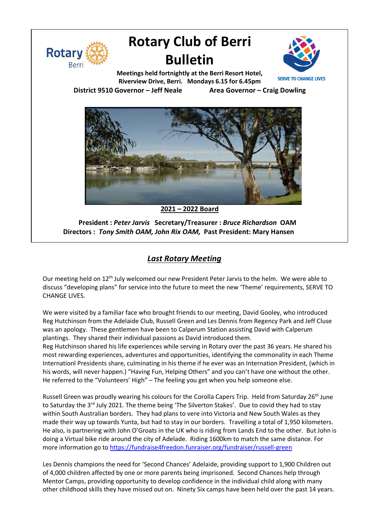

# **Rotary Club of Berri Bulletin**



**Meetings held fortnightly at the Berri Resort Hotel, Riverview Drive, Berri. Mondays 6.15 for 6.45pm District 9510 Governor – Jeff Neale Area Governor – Craig Dowling**



**2021 – 2022 Board**

**President :** *Peter Jarvis* **Secretary/Treasurer :** *Bruce Richardson* **OAM Directors :** *Tony Smith OAM, John Rix OAM,* **Past President: Mary Hansen**

# *Last Rotary Meeting*

Our meeting held on 12<sup>th</sup> July welcomed our new President Peter Jarvis to the helm. We were able to discuss "developing plans" for service into the future to meet the new 'Theme' requirements, SERVE TO CHANGE LIVES.

We were visited by a familiar face who brought friends to our meeting, David Gooley, who introduced Reg Hutchinson from the Adelaide Club, Russell Green and Les Dennis from Regency Park and Jeff Cluse was an apology. These gentlemen have been to Calperum Station assisting David with Calperum plantings. They shared their individual passions as David introduced them.

Reg Hutchinson shared his life experiences while serving in Rotary over the past 36 years. He shared his most rewarding experiences, adventures and opportunities, identifying the commonality in each Theme Internationl Presidents share, culminating in his theme if he ever was an Internation President, (which in his words, will never happen.) "Having Fun, Helping Others" and you can't have one without the other. He referred to the "Volunteers' High" – The feeling you get when you help someone else.

Russell Green was proudly wearing his colours for the Corolla Capers Trip. Held from Saturday 26<sup>th</sup> June to Saturday the 3<sup>rd</sup> July 2021. The theme being 'The Silverton Stakes'. Due to covid they had to stay within South Australian borders. They had plans to vere into Victoria and New South Wales as they made their way up towards Yunta, but had to stay in our borders. Travelling a total of 1,950 kilometers. He also, is partnering with John O'Groats in the UK who is riding from Lands End to the other. But John is doing a Virtual bike ride around the city of Adelade. Riding 1600km to match the same distance. For more information go to https://fundraise4freedon.funraiser.org/fundraiser/russell-green

Les Dennis champions the need for 'Second Chances' Adelaide, providing support to 1,900 Children out of 4,000 children affected by one or more parents being imprisoned. Second Chances help through Mentor Camps, providing opportunity to develop confidence in the individual child along with many other childhood skills they have missed out on. Ninety Six camps have been held over the past 14 years.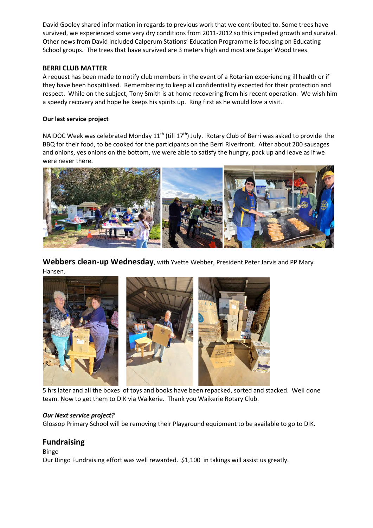David Gooley shared information in regards to previous work that we contributed to. Some trees have survived, we experienced some very dry conditions from 2011-2012 so this impeded growth and survival. Other news from David included Calperum Stations' Education Programme is focusing on Educating School groups. The trees that have survived are 3 meters high and most are Sugar Wood trees.

## **BERRI CLUB MATTER**

A request has been made to notify club members in the event of a Rotarian experiencing ill health or if they have been hospitilised. Remembering to keep all confidentiality expected for their protection and respect. While on the subject, Tony Smith is at home recovering from his recent operation. We wish him a speedy recovery and hope he keeps his spirits up. Ring first as he would love a visit.

## **Our last service project**

NAIDOC Week was celebrated Monday 11<sup>th</sup> (till 17<sup>th</sup>) July. Rotary Club of Berri was asked to provide the BBQ for their food, to be cooked for the participants on the Berri Riverfront. After about 200 sausages and onions, yes onions on the bottom, we were able to satisfy the hungry, pack up and leave as if we were never there.



**Webbers clean-up Wednesday**, with Yvette Webber, President Peter Jarvis and PP Mary Hansen.



 5 hrs later and all the boxes of toys and books have been repacked, sorted and stacked. Well done team. Now to get them to DIK via Waikerie. Thank you Waikerie Rotary Club.

### *Our Next service project?*

Glossop Primary School will be removing their Playground equipment to be available to go to DIK.

# **Fundraising**

Bingo Our Bingo Fundraising effort was well rewarded. \$1,100 in takings will assist us greatly.